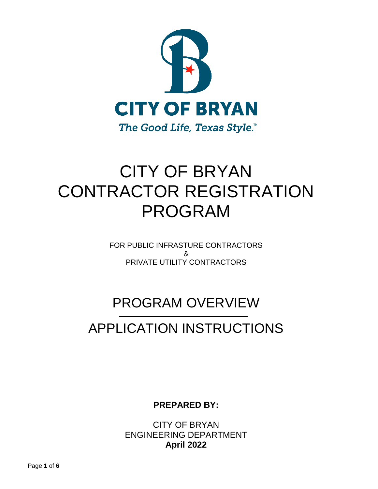

# CITY OF BRYAN CONTRACTOR REGISTRATION PROGRAM

FOR PUBLIC INFRASTURE CONTRACTORS & PRIVATE UTILITY CONTRACTORS

## PROGRAM OVERVIEW

## APPLICATION INSTRUCTIONS

**PREPARED BY:**

CITY OF BRYAN ENGINEERING DEPARTMENT **April 2022**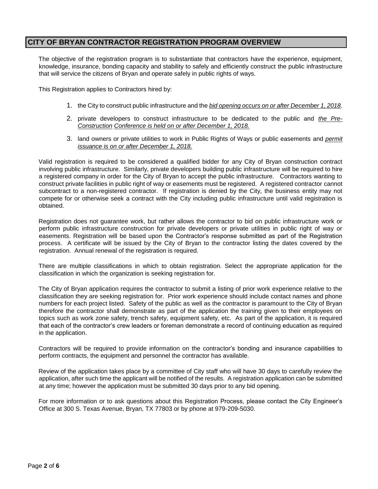## **CITY OF BRYAN CONTRACTOR REGISTRATION PROGRAM OVERVIEW**

The objective of the registration program is to substantiate that contractors have the experience, equipment, knowledge, insurance, bonding capacity and stability to safely and efficiently construct the public infrastructure that will service the citizens of Bryan and operate safely in public rights of ways.

This Registration applies to Contractors hired by:

- 1. the City to construct public infrastructure and the *bid opening occurs on or after December 1, 2018*.
- 2. private developers to construct infrastructure to be dedicated to the public and *the Pre-Construction Conference is held on or after December 1, 2018.*
- 3. land owners or private utilities to work in Public Rights of Ways or public easements and *permit issuance is on or after December 1, 2018.*

Valid registration is required to be considered a qualified bidder for any City of Bryan construction contract involving public infrastructure. Similarly, private developers building public infrastructure will be required to hire a registered company in order for the City of Bryan to accept the public infrastructure. Contractors wanting to construct private facilities in public right of way or easements must be registered. A registered contractor cannot subcontract to a non-registered contractor. If registration is denied by the City, the business entity may not compete for or otherwise seek a contract with the City including public infrastructure until valid registration is obtained.

Registration does not guarantee work, but rather allows the contractor to bid on public infrastructure work or perform public infrastructure construction for private developers or private utilities in public right of way or easements. Registration will be based upon the Contractor's response submitted as part of the Registration process. A certificate will be issued by the City of Bryan to the contractor listing the dates covered by the registration. Annual renewal of the registration is required.

There are multiple classifications in which to obtain registration. Select the appropriate application for the classification in which the organization is seeking registration for.

The City of Bryan application requires the contractor to submit a listing of prior work experience relative to the classification they are seeking registration for. Prior work experience should include contact names and phone numbers for each project listed. Safety of the public as well as the contractor is paramount to the City of Bryan therefore the contractor shall demonstrate as part of the application the training given to their employees on topics such as work zone safety, trench safety, equipment safety, etc. As part of the application, it is required that each of the contractor's crew leaders or foreman demonstrate a record of continuing education as required in the application.

Contractors will be required to provide information on the contractor's bonding and insurance capabilities to perform contracts, the equipment and personnel the contractor has available.

Review of the application takes place by a committee of City staff who will have 30 days to carefully review the application, after such time the applicant will be notified of the results. A registration application can be submitted at any time; however the application must be submitted 30 days prior to any bid opening.

For more information or to ask questions about this Registration Process, please contact the City Engineer's Office at 300 S. Texas Avenue, Bryan, TX 77803 or by phone at 979-209-5030.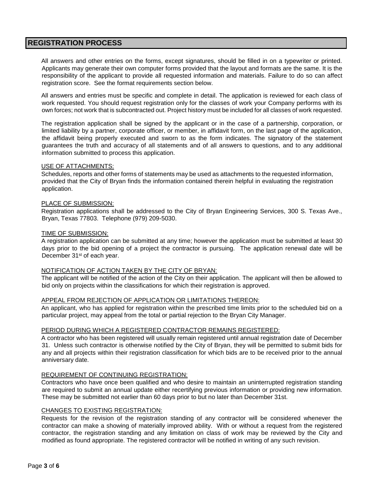## **REGISTRATION PROCESS**

All answers and other entries on the forms, except signatures, should be filled in on a typewriter or printed. Applicants may generate their own computer forms provided that the layout and formats are the same. It is the responsibility of the applicant to provide all requested information and materials. Failure to do so can affect registration score. See the format requirements section below.

All answers and entries must be specific and complete in detail. The application is reviewed for each class of work requested. You should request registration only for the classes of work your Company performs with its own forces; not work that is subcontracted out. Project history must be included for all classes of work requested.

The registration application shall be signed by the applicant or in the case of a partnership, corporation, or limited liability by a partner, corporate officer, or member, in affidavit form, on the last page of the application, the affidavit being properly executed and sworn to as the form indicates. The signatory of the statement guarantees the truth and accuracy of all statements and of all answers to questions, and to any additional information submitted to process this application.

#### USE OF ATTACHMENTS:

Schedules, reports and other forms of statements may be used as attachments to the requested information, provided that the City of Bryan finds the information contained therein helpful in evaluating the registration application.

#### PLACE OF SUBMISSION:

Registration applications shall be addressed to the City of Bryan Engineering Services, 300 S. Texas Ave., Bryan, Texas 77803. Telephone (979) 209-5030.

#### TIME OF SUBMISSION:

A registration application can be submitted at any time; however the application must be submitted at least 30 days prior to the bid opening of a project the contractor is pursuing. The application renewal date will be December 31<sup>st</sup> of each year.

#### NOTIFICATION OF ACTION TAKEN BY THE CITY OF BRYAN:

The applicant will be notified of the action of the City on their application. The applicant will then be allowed to bid only on projects within the classifications for which their registration is approved.

#### APPEAL FROM REJECTION OF APPLICATION OR LIMITATIONS THEREON:

An applicant, who has applied for registration within the prescribed time limits prior to the scheduled bid on a particular project, may appeal from the total or partial rejection to the Bryan City Manager.

#### PERIOD DURING WHICH A REGISTERED CONTRACTOR REMAINS REGISTERED:

A contractor who has been registered will usually remain registered until annual registration date of December 31. Unless such contractor is otherwise notified by the City of Bryan, they will be permitted to submit bids for any and all projects within their registration classification for which bids are to be received prior to the annual anniversary date.

#### REQUIREMENT OF CONTINUING REGISTRATION:

Contractors who have once been qualified and who desire to maintain an uninterrupted registration standing are required to submit an annual update either recertifying previous information or providing new information. These may be submitted not earlier than 60 days prior to but no later than December 31st.

#### CHANGES TO EXISTING REGISTRATION:

Requests for the revision of the registration standing of any contractor will be considered whenever the contractor can make a showing of materially improved ability. With or without a request from the registered contractor, the registration standing and any limitation on class of work may be reviewed by the City and modified as found appropriate. The registered contractor will be notified in writing of any such revision.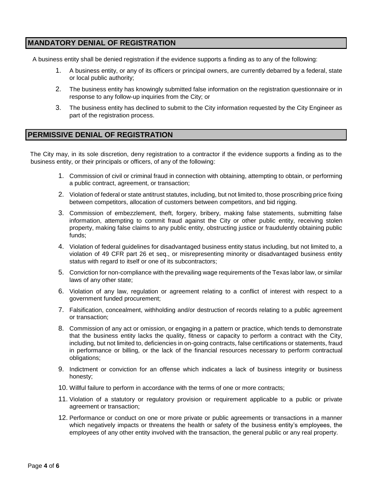## **MANDATORY DENIAL OF REGISTRATION**

A business entity shall be denied registration if the evidence supports a finding as to any of the following:

- 1. A business entity, or any of its officers or principal owners, are currently debarred by a federal, state or local public authority;
- 2. The business entity has knowingly submitted false information on the registration questionnaire or in response to any follow-up inquiries from the City; or
- 3. The business entity has declined to submit to the City information requested by the City Engineer as part of the registration process.

## **PERMISSIVE DENIAL OF REGISTRATION**

The City may, in its sole discretion, deny registration to a contractor if the evidence supports a finding as to the business entity, or their principals or officers, of any of the following:

- 1. Commission of civil or criminal fraud in connection with obtaining, attempting to obtain, or performing a public contract, agreement, or transaction;
- 2. Violation of federal or state antitrust statutes, including, but not limited to, those proscribing price fixing between competitors, allocation of customers between competitors, and bid rigging.
- 3. Commission of embezzlement, theft, forgery, bribery, making false statements, submitting false information, attempting to commit fraud against the City or other public entity, receiving stolen property, making false claims to any public entity, obstructing justice or fraudulently obtaining public funds;
- 4. Violation of federal guidelines for disadvantaged business entity status including, but not limited to, a violation of 49 CFR part 26 et seq., or misrepresenting minority or disadvantaged business entity status with regard to itself or one of its subcontractors;
- 5. Conviction for non-compliance with the prevailing wage requirements of the Texas labor law, or similar laws of any other state;
- 6. Violation of any law, regulation or agreement relating to a conflict of interest with respect to a government funded procurement;
- 7. Falsification, concealment, withholding and/or destruction of records relating to a public agreement or transaction;
- 8. Commission of any act or omission, or engaging in a pattern or practice, which tends to demonstrate that the business entity lacks the quality, fitness or capacity to perform a contract with the City, including, but not limited to, deficiencies in on-going contracts, false certifications or statements, fraud in performance or billing, or the lack of the financial resources necessary to perform contractual obligations;
- 9. Indictment or conviction for an offense which indicates a lack of business integrity or business honesty;
- 10. Willful failure to perform in accordance with the terms of one or more contracts;
- 11. Violation of a statutory or regulatory provision or requirement applicable to a public or private agreement or transaction;
- 12. Performance or conduct on one or more private or public agreements or transactions in a manner which negatively impacts or threatens the health or safety of the business entity's employees, the employees of any other entity involved with the transaction, the general public or any real property.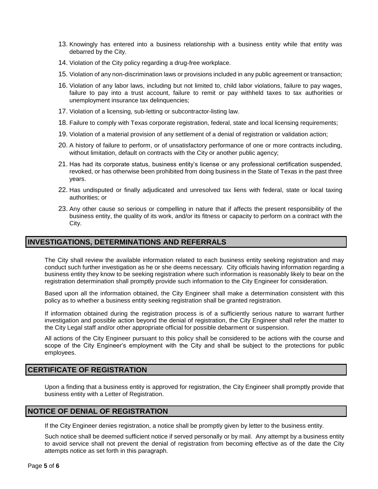- 13. Knowingly has entered into a business relationship with a business entity while that entity was debarred by the City.
- 14. Violation of the City policy regarding a drug-free workplace.
- 15. Violation of any non-discrimination laws or provisions included in any public agreement or transaction;
- 16. Violation of any labor laws, including but not limited to, child labor violations, failure to pay wages, failure to pay into a trust account, failure to remit or pay withheld taxes to tax authorities or unemployment insurance tax delinquencies;
- 17. Violation of a licensing, sub-letting or subcontractor-listing law.
- 18. Failure to comply with Texas corporate registration, federal, state and local licensing requirements;
- 19. Violation of a material provision of any settlement of a denial of registration or validation action;
- 20. A history of failure to perform, or of unsatisfactory performance of one or more contracts including, without limitation, default on contracts with the City or another public agency;
- 21. Has had its corporate status, business entity's license or any professional certification suspended, revoked, or has otherwise been prohibited from doing business in the State of Texas in the past three years.
- 22. Has undisputed or finally adjudicated and unresolved tax liens with federal, state or local taxing authorities; or
- 23. Any other cause so serious or compelling in nature that if affects the present responsibility of the business entity, the quality of its work, and/or its fitness or capacity to perform on a contract with the City.

## **INVESTIGATIONS, DETERMINATIONS AND REFERRALS**

The City shall review the available information related to each business entity seeking registration and may conduct such further investigation as he or she deems necessary. City officials having information regarding a business entity they know to be seeking registration where such information is reasonably likely to bear on the registration determination shall promptly provide such information to the City Engineer for consideration.

Based upon all the information obtained, the City Engineer shall make a determination consistent with this policy as to whether a business entity seeking registration shall be granted registration.

If information obtained during the registration process is of a sufficiently serious nature to warrant further investigation and possible action beyond the denial of registration, the City Engineer shall refer the matter to the City Legal staff and/or other appropriate official for possible debarment or suspension.

All actions of the City Engineer pursuant to this policy shall be considered to be actions with the course and scope of the City Engineer's employment with the City and shall be subject to the protections for public employees.

### **CERTIFICATE OF REGISTRATION**

Upon a finding that a business entity is approved for registration, the City Engineer shall promptly provide that business entity with a Letter of Registration.

### **NOTICE OF DENIAL OF REGISTRATION**

If the City Engineer denies registration, a notice shall be promptly given by letter to the business entity.

Such notice shall be deemed sufficient notice if served personally or by mail. Any attempt by a business entity to avoid service shall not prevent the denial of registration from becoming effective as of the date the City attempts notice as set forth in this paragraph.